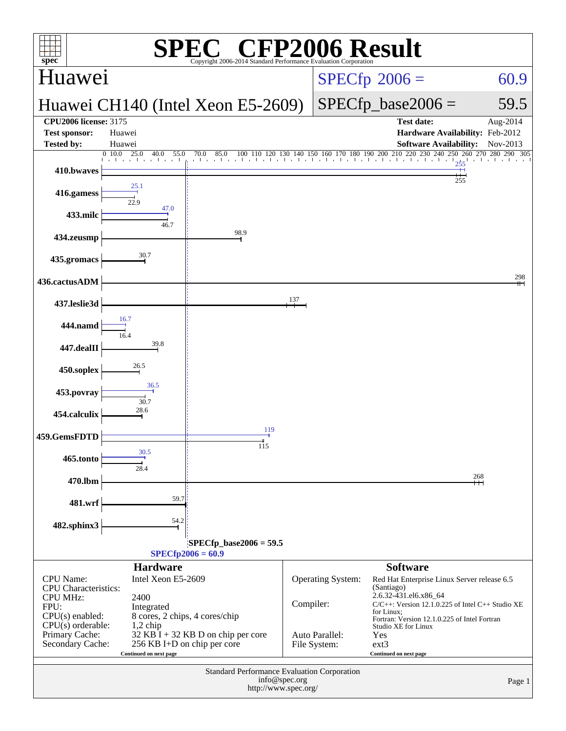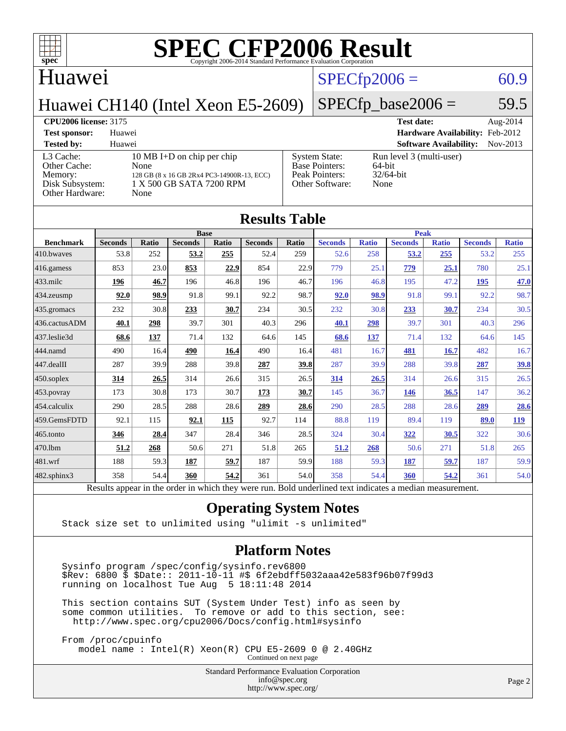

#### Huawei

### $SPECfp2006 = 60.9$  $SPECfp2006 = 60.9$

 $SPECTp\_base2006 = 59.5$ 

#### Huawei CH140 (Intel Xeon E5-2609)

| <b>CPU2006 license: 3175</b> |                                            |                       | <b>Test date:</b>                      | Aug-2014 |
|------------------------------|--------------------------------------------|-----------------------|----------------------------------------|----------|
| <b>Test sponsor:</b>         | Huawei                                     |                       | <b>Hardware Availability:</b> Feb-2012 |          |
| <b>Tested by:</b>            | Huawei                                     |                       | <b>Software Availability:</b>          | Nov-2013 |
| L3 Cache:                    | 10 MB I+D on chip per chip                 | <b>System State:</b>  | Run level 3 (multi-user)               |          |
| Other Cache:                 | None                                       | <b>Base Pointers:</b> | 64-bit                                 |          |
| Memory:                      | 128 GB (8 x 16 GB 2Rx4 PC3-14900R-13, ECC) | Peak Pointers:        | $32/64$ -bit                           |          |
| Disk Subsystem:              | 1 X 500 GB SATA 7200 RPM                   | Other Software:       | None                                   |          |
| Other Hardware:              | None                                       |                       |                                        |          |
|                              |                                            |                       |                                        |          |

| <b>Results Table</b>   |                                                                                                          |              |                |       |                |             |                |              |                |              |                |              |
|------------------------|----------------------------------------------------------------------------------------------------------|--------------|----------------|-------|----------------|-------------|----------------|--------------|----------------|--------------|----------------|--------------|
|                        | <b>Base</b>                                                                                              |              |                |       |                | <b>Peak</b> |                |              |                |              |                |              |
| <b>Benchmark</b>       | <b>Seconds</b>                                                                                           | <b>Ratio</b> | <b>Seconds</b> | Ratio | <b>Seconds</b> | Ratio       | <b>Seconds</b> | <b>Ratio</b> | <b>Seconds</b> | <b>Ratio</b> | <b>Seconds</b> | <b>Ratio</b> |
| 410.bwayes             | 53.8                                                                                                     | 252          | 53.2           | 255   | 52.4           | 259         | 52.6           | 258          | 53.2           | 255          | 53.2           | 255          |
| 416.gamess             | 853                                                                                                      | 23.0         | 853            | 22.9  | 854            | 22.9        | 779            | 25.1         | 779            | 25.1         | 780            | 25.1         |
| $433$ .milc            | 196                                                                                                      | 46.7         | 196            | 46.8  | 196            | 46.7        | 196            | 46.8         | 195            | 47.2         | 195            | 47.0         |
| $434$ . zeusmp         | 92.0                                                                                                     | 98.9         | 91.8           | 99.1  | 92.2           | 98.7        | 92.0           | 98.9         | 91.8           | 99.1         | 92.2           | 98.7         |
| $435.$ gromacs         | 232                                                                                                      | 30.8         | 233            | 30.7  | 234            | 30.5        | 232            | 30.8         | 233            | 30.7         | 234            | 30.5         |
| 436.cactusADM          | 40.1                                                                                                     | 298          | 39.7           | 301   | 40.3           | 296         | 40.1           | 298          | 39.7           | 301          | 40.3           | 296          |
| 437.leslie3d           | 68.6                                                                                                     | 137          | 71.4           | 132   | 64.6           | 145         | 68.6           | 137          | 71.4           | 132          | 64.6           | 145          |
| 444.namd               | 490                                                                                                      | 16.4         | 490            | 16.4  | 490            | 16.4        | 481            | 16.7         | 481            | 16.7         | 482            | 16.7         |
| $ 447 \text{.}$ dealII | 287                                                                                                      | 39.9         | 288            | 39.8  | 287            | 39.8        | 287            | 39.9         | 288            | 39.8         | 287            | <u>39.8</u>  |
| $450$ .soplex          | 314                                                                                                      | 26.5         | 314            | 26.6  | 315            | 26.5        | 314            | 26.5         | 314            | 26.6         | 315            | 26.5         |
| $453$ .povray          | 173                                                                                                      | 30.8         | 173            | 30.7  | 173            | 30.7        | 145            | 36.7         | 146            | 36.5         | 147            | 36.2         |
| $ 454$ .calculix       | 290                                                                                                      | 28.5         | 288            | 28.6  | 289            | 28.6        | 290            | 28.5         | 288            | 28.6         | 289            | 28.6         |
| 459.GemsFDTD           | 92.1                                                                                                     | 115          | 92.1           | 115   | 92.7           | 114         | 88.8           | 119          | 89.4           | 119          | 89.0           | <u>119</u>   |
| $465$ .tonto           | 346                                                                                                      | 28.4         | 347            | 28.4  | 346            | 28.5        | 324            | 30.4         | 322            | 30.5         | 322            | 30.6         |
| 470.1bm                | 51.2                                                                                                     | 268          | 50.6           | 271   | 51.8           | 265         | 51.2           | 268          | 50.6           | 271          | 51.8           | 265          |
| 481.wrf                | 188                                                                                                      | 59.3         | 187            | 59.7  | 187            | 59.9        | 188            | 59.3         | 187            | 59.7         | 187            | 59.9         |
| $482$ .sphinx $3$      | 358                                                                                                      | 54.4         | 360            | 54.2  | 361            | 54.0        | 358            | 54.4         | 360            | 54.2         | 361            | 54.0         |
|                        | Results appear in the order in which they were run. Bold underlined text indicates a median measurement. |              |                |       |                |             |                |              |                |              |                |              |

#### **[Operating System Notes](http://www.spec.org/auto/cpu2006/Docs/result-fields.html#OperatingSystemNotes)**

Stack size set to unlimited using "ulimit -s unlimited"

#### **[Platform Notes](http://www.spec.org/auto/cpu2006/Docs/result-fields.html#PlatformNotes)**

 Sysinfo program /spec/config/sysinfo.rev6800 \$Rev: 6800 \$ \$Date:: 2011-10-11 #\$ 6f2ebdff5032aaa42e583f96b07f99d3 running on localhost Tue Aug 5 18:11:48 2014

 This section contains SUT (System Under Test) info as seen by some common utilities. To remove or add to this section, see: <http://www.spec.org/cpu2006/Docs/config.html#sysinfo>

 From /proc/cpuinfo model name : Intel(R) Xeon(R) CPU E5-2609 0 @ 2.40GHz Continued on next page

Standard Performance Evaluation Corporation

[info@spec.org](mailto:info@spec.org) <http://www.spec.org/>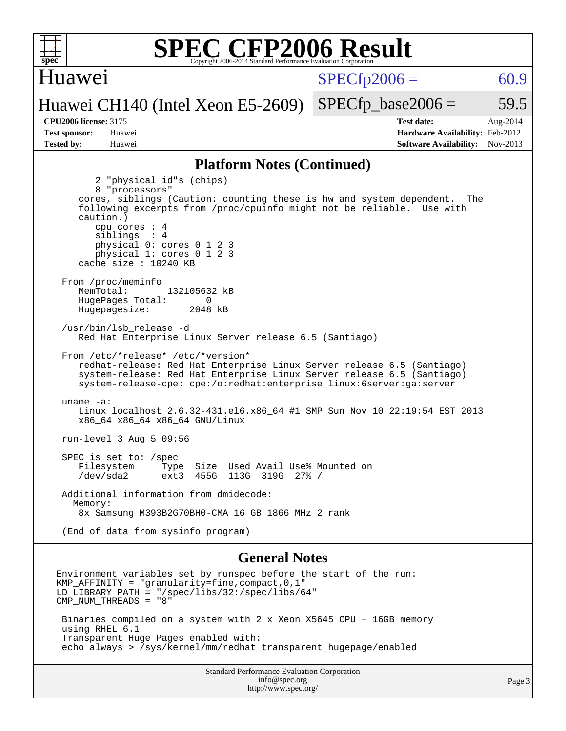

#### Huawei

 $SPECTp2006 = 60.9$ 

#### Huawei CH140 (Intel Xeon E5-2609)

 $SPECTp\_base2006 = 59.5$ 

**[Tested by:](http://www.spec.org/auto/cpu2006/Docs/result-fields.html#Testedby)** Huawei **[Software Availability:](http://www.spec.org/auto/cpu2006/Docs/result-fields.html#SoftwareAvailability)** Nov-2013

**[CPU2006 license:](http://www.spec.org/auto/cpu2006/Docs/result-fields.html#CPU2006license)** 3175 **[Test date:](http://www.spec.org/auto/cpu2006/Docs/result-fields.html#Testdate)** Aug-2014 **[Test sponsor:](http://www.spec.org/auto/cpu2006/Docs/result-fields.html#Testsponsor)** Huawei **[Hardware Availability:](http://www.spec.org/auto/cpu2006/Docs/result-fields.html#HardwareAvailability)** Feb-2012

#### **[Platform Notes \(Continued\)](http://www.spec.org/auto/cpu2006/Docs/result-fields.html#PlatformNotes)**

 2 "physical id"s (chips) 8 "processors" cores, siblings (Caution: counting these is hw and system dependent. The following excerpts from /proc/cpuinfo might not be reliable. Use with caution.) cpu cores : 4 siblings : 4 physical 0: cores 0 1 2 3 physical 1: cores 0 1 2 3 cache size : 10240 KB From /proc/meminfo MemTotal: 132105632 kB HugePages\_Total: 0<br>Hugepagesize: 2048 kB Hugepagesize: /usr/bin/lsb\_release -d Red Hat Enterprise Linux Server release 6.5 (Santiago) From /etc/\*release\* /etc/\*version\* redhat-release: Red Hat Enterprise Linux Server release 6.5 (Santiago) system-release: Red Hat Enterprise Linux Server release 6.5 (Santiago) system-release-cpe: cpe:/o:redhat:enterprise\_linux:6server:ga:server uname -a: Linux localhost 2.6.32-431.el6.x86\_64 #1 SMP Sun Nov 10 22:19:54 EST 2013 x86\_64 x86\_64 x86\_64 GNU/Linux run-level 3 Aug 5 09:56 SPEC is set to: /spec Filesystem Type Size Used Avail Use% Mounted on /dev/sda2 ext3 455G 113G 319G 27% / Additional information from dmidecode: Memory: 8x Samsung M393B2G70BH0-CMA 16 GB 1866 MHz 2 rank (End of data from sysinfo program)

#### **[General Notes](http://www.spec.org/auto/cpu2006/Docs/result-fields.html#GeneralNotes)**

Environment variables set by runspec before the start of the run: KMP AFFINITY = "granularity=fine, compact,  $0,1$ " LD\_LIBRARY\_PATH = "/spec/libs/32:/spec/libs/64" OMP\_NUM\_THREADS = "8" Binaries compiled on a system with 2 x Xeon X5645 CPU + 16GB memory using RHEL 6.1 Transparent Huge Pages enabled with: echo always > /sys/kernel/mm/redhat\_transparent\_hugepage/enabled

> Standard Performance Evaluation Corporation [info@spec.org](mailto:info@spec.org) <http://www.spec.org/>

Page 3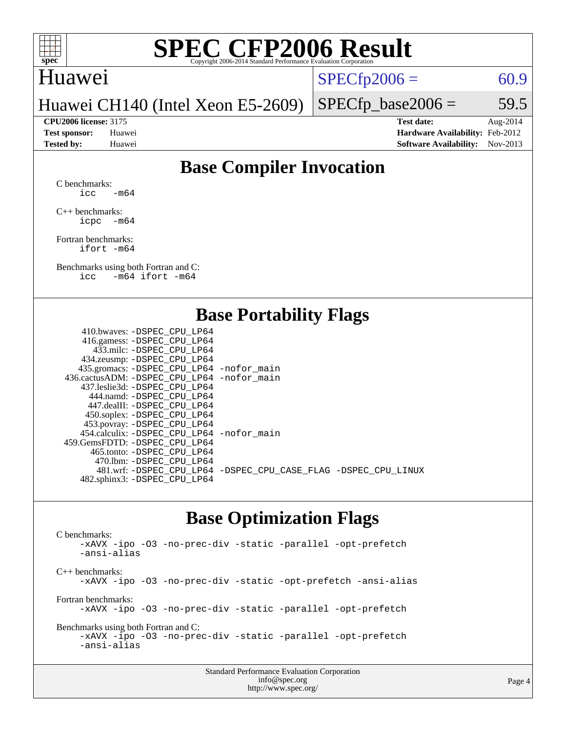

#### Huawei

 $SPECTp2006 = 60.9$ 

Huawei CH140 (Intel Xeon E5-2609)

 $SPECTp\_base2006 = 59.5$ 

**[CPU2006 license:](http://www.spec.org/auto/cpu2006/Docs/result-fields.html#CPU2006license)** 3175 **[Test date:](http://www.spec.org/auto/cpu2006/Docs/result-fields.html#Testdate)** Aug-2014 **[Test sponsor:](http://www.spec.org/auto/cpu2006/Docs/result-fields.html#Testsponsor)** Huawei **[Hardware Availability:](http://www.spec.org/auto/cpu2006/Docs/result-fields.html#HardwareAvailability)** Feb-2012 **[Tested by:](http://www.spec.org/auto/cpu2006/Docs/result-fields.html#Testedby)** Huawei **[Software Availability:](http://www.spec.org/auto/cpu2006/Docs/result-fields.html#SoftwareAvailability)** Nov-2013

### **[Base Compiler Invocation](http://www.spec.org/auto/cpu2006/Docs/result-fields.html#BaseCompilerInvocation)**

[C benchmarks](http://www.spec.org/auto/cpu2006/Docs/result-fields.html#Cbenchmarks):  $\text{icc}$  -m64

[C++ benchmarks:](http://www.spec.org/auto/cpu2006/Docs/result-fields.html#CXXbenchmarks) [icpc -m64](http://www.spec.org/cpu2006/results/res2014q3/cpu2006-20140810-30842.flags.html#user_CXXbase_intel_icpc_64bit_bedb90c1146cab66620883ef4f41a67e)

[Fortran benchmarks](http://www.spec.org/auto/cpu2006/Docs/result-fields.html#Fortranbenchmarks): [ifort -m64](http://www.spec.org/cpu2006/results/res2014q3/cpu2006-20140810-30842.flags.html#user_FCbase_intel_ifort_64bit_ee9d0fb25645d0210d97eb0527dcc06e)

[Benchmarks using both Fortran and C](http://www.spec.org/auto/cpu2006/Docs/result-fields.html#BenchmarksusingbothFortranandC): [icc -m64](http://www.spec.org/cpu2006/results/res2014q3/cpu2006-20140810-30842.flags.html#user_CC_FCbase_intel_icc_64bit_0b7121f5ab7cfabee23d88897260401c) [ifort -m64](http://www.spec.org/cpu2006/results/res2014q3/cpu2006-20140810-30842.flags.html#user_CC_FCbase_intel_ifort_64bit_ee9d0fb25645d0210d97eb0527dcc06e)

### **[Base Portability Flags](http://www.spec.org/auto/cpu2006/Docs/result-fields.html#BasePortabilityFlags)**

| 410.bwaves: -DSPEC CPU LP64                 |                                                                |
|---------------------------------------------|----------------------------------------------------------------|
| 416.gamess: - DSPEC_CPU_LP64                |                                                                |
| 433.milc: -DSPEC CPU LP64                   |                                                                |
| 434.zeusmp: -DSPEC_CPU_LP64                 |                                                                |
| 435.gromacs: -DSPEC_CPU_LP64 -nofor_main    |                                                                |
| 436.cactusADM: -DSPEC CPU LP64 -nofor main  |                                                                |
| 437.leslie3d: -DSPEC CPU LP64               |                                                                |
| 444.namd: -DSPEC CPU LP64                   |                                                                |
| 447.dealII: -DSPEC CPU LP64                 |                                                                |
| 450.soplex: -DSPEC_CPU_LP64                 |                                                                |
| 453.povray: -DSPEC_CPU_LP64                 |                                                                |
| 454.calculix: - DSPEC CPU LP64 - nofor main |                                                                |
| 459.GemsFDTD: -DSPEC CPU LP64               |                                                                |
| 465.tonto: - DSPEC CPU LP64                 |                                                                |
| 470.1bm: - DSPEC CPU LP64                   |                                                                |
|                                             | 481.wrf: -DSPEC_CPU_LP64 -DSPEC_CPU_CASE_FLAG -DSPEC_CPU_LINUX |
| 482.sphinx3: -DSPEC_CPU_LP64                |                                                                |
|                                             |                                                                |

### **[Base Optimization Flags](http://www.spec.org/auto/cpu2006/Docs/result-fields.html#BaseOptimizationFlags)**

[C benchmarks](http://www.spec.org/auto/cpu2006/Docs/result-fields.html#Cbenchmarks): [-xAVX](http://www.spec.org/cpu2006/results/res2014q3/cpu2006-20140810-30842.flags.html#user_CCbase_f-xAVX) [-ipo](http://www.spec.org/cpu2006/results/res2014q3/cpu2006-20140810-30842.flags.html#user_CCbase_f-ipo) [-O3](http://www.spec.org/cpu2006/results/res2014q3/cpu2006-20140810-30842.flags.html#user_CCbase_f-O3) [-no-prec-div](http://www.spec.org/cpu2006/results/res2014q3/cpu2006-20140810-30842.flags.html#user_CCbase_f-no-prec-div) [-static](http://www.spec.org/cpu2006/results/res2014q3/cpu2006-20140810-30842.flags.html#user_CCbase_f-static) [-parallel](http://www.spec.org/cpu2006/results/res2014q3/cpu2006-20140810-30842.flags.html#user_CCbase_f-parallel) [-opt-prefetch](http://www.spec.org/cpu2006/results/res2014q3/cpu2006-20140810-30842.flags.html#user_CCbase_f-opt-prefetch) [-ansi-alias](http://www.spec.org/cpu2006/results/res2014q3/cpu2006-20140810-30842.flags.html#user_CCbase_f-ansi-alias) [C++ benchmarks:](http://www.spec.org/auto/cpu2006/Docs/result-fields.html#CXXbenchmarks) [-xAVX](http://www.spec.org/cpu2006/results/res2014q3/cpu2006-20140810-30842.flags.html#user_CXXbase_f-xAVX) [-ipo](http://www.spec.org/cpu2006/results/res2014q3/cpu2006-20140810-30842.flags.html#user_CXXbase_f-ipo) [-O3](http://www.spec.org/cpu2006/results/res2014q3/cpu2006-20140810-30842.flags.html#user_CXXbase_f-O3) [-no-prec-div](http://www.spec.org/cpu2006/results/res2014q3/cpu2006-20140810-30842.flags.html#user_CXXbase_f-no-prec-div) [-static](http://www.spec.org/cpu2006/results/res2014q3/cpu2006-20140810-30842.flags.html#user_CXXbase_f-static) [-opt-prefetch](http://www.spec.org/cpu2006/results/res2014q3/cpu2006-20140810-30842.flags.html#user_CXXbase_f-opt-prefetch) [-ansi-alias](http://www.spec.org/cpu2006/results/res2014q3/cpu2006-20140810-30842.flags.html#user_CXXbase_f-ansi-alias) [Fortran benchmarks](http://www.spec.org/auto/cpu2006/Docs/result-fields.html#Fortranbenchmarks): [-xAVX](http://www.spec.org/cpu2006/results/res2014q3/cpu2006-20140810-30842.flags.html#user_FCbase_f-xAVX) [-ipo](http://www.spec.org/cpu2006/results/res2014q3/cpu2006-20140810-30842.flags.html#user_FCbase_f-ipo) [-O3](http://www.spec.org/cpu2006/results/res2014q3/cpu2006-20140810-30842.flags.html#user_FCbase_f-O3) [-no-prec-div](http://www.spec.org/cpu2006/results/res2014q3/cpu2006-20140810-30842.flags.html#user_FCbase_f-no-prec-div) [-static](http://www.spec.org/cpu2006/results/res2014q3/cpu2006-20140810-30842.flags.html#user_FCbase_f-static) [-parallel](http://www.spec.org/cpu2006/results/res2014q3/cpu2006-20140810-30842.flags.html#user_FCbase_f-parallel) [-opt-prefetch](http://www.spec.org/cpu2006/results/res2014q3/cpu2006-20140810-30842.flags.html#user_FCbase_f-opt-prefetch) [Benchmarks using both Fortran and C](http://www.spec.org/auto/cpu2006/Docs/result-fields.html#BenchmarksusingbothFortranandC): [-xAVX](http://www.spec.org/cpu2006/results/res2014q3/cpu2006-20140810-30842.flags.html#user_CC_FCbase_f-xAVX) [-ipo](http://www.spec.org/cpu2006/results/res2014q3/cpu2006-20140810-30842.flags.html#user_CC_FCbase_f-ipo) [-O3](http://www.spec.org/cpu2006/results/res2014q3/cpu2006-20140810-30842.flags.html#user_CC_FCbase_f-O3) [-no-prec-div](http://www.spec.org/cpu2006/results/res2014q3/cpu2006-20140810-30842.flags.html#user_CC_FCbase_f-no-prec-div) [-static](http://www.spec.org/cpu2006/results/res2014q3/cpu2006-20140810-30842.flags.html#user_CC_FCbase_f-static) [-parallel](http://www.spec.org/cpu2006/results/res2014q3/cpu2006-20140810-30842.flags.html#user_CC_FCbase_f-parallel) [-opt-prefetch](http://www.spec.org/cpu2006/results/res2014q3/cpu2006-20140810-30842.flags.html#user_CC_FCbase_f-opt-prefetch) [-ansi-alias](http://www.spec.org/cpu2006/results/res2014q3/cpu2006-20140810-30842.flags.html#user_CC_FCbase_f-ansi-alias)

| <b>Standard Performance Evaluation Corporation</b> |
|----------------------------------------------------|
| info@spec.org                                      |
| http://www.spec.org/                               |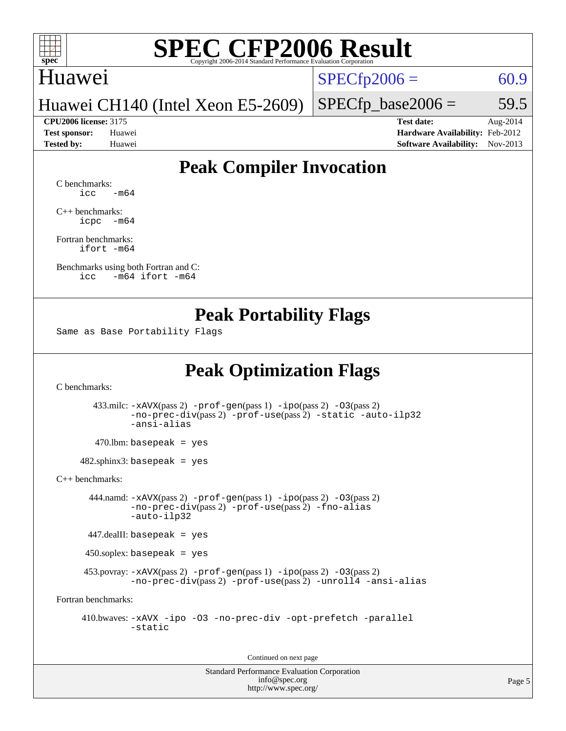

### Huawei

 $SPECTp2006 = 60.9$ 

Huawei CH140 (Intel Xeon E5-2609)

#### **[CPU2006 license:](http://www.spec.org/auto/cpu2006/Docs/result-fields.html#CPU2006license)** 3175 **[Test date:](http://www.spec.org/auto/cpu2006/Docs/result-fields.html#Testdate)** Aug-2014

 $SPECTp\_base2006 = 59.5$ 

**[Test sponsor:](http://www.spec.org/auto/cpu2006/Docs/result-fields.html#Testsponsor)** Huawei **[Hardware Availability:](http://www.spec.org/auto/cpu2006/Docs/result-fields.html#HardwareAvailability)** Feb-2012 **[Tested by:](http://www.spec.org/auto/cpu2006/Docs/result-fields.html#Testedby)** Huawei **[Software Availability:](http://www.spec.org/auto/cpu2006/Docs/result-fields.html#SoftwareAvailability)** Nov-2013

## **[Peak Compiler Invocation](http://www.spec.org/auto/cpu2006/Docs/result-fields.html#PeakCompilerInvocation)**

[C benchmarks](http://www.spec.org/auto/cpu2006/Docs/result-fields.html#Cbenchmarks):  $\text{icc}$   $-\text{m64}$ 

[C++ benchmarks:](http://www.spec.org/auto/cpu2006/Docs/result-fields.html#CXXbenchmarks) [icpc -m64](http://www.spec.org/cpu2006/results/res2014q3/cpu2006-20140810-30842.flags.html#user_CXXpeak_intel_icpc_64bit_bedb90c1146cab66620883ef4f41a67e)

[Fortran benchmarks](http://www.spec.org/auto/cpu2006/Docs/result-fields.html#Fortranbenchmarks): [ifort -m64](http://www.spec.org/cpu2006/results/res2014q3/cpu2006-20140810-30842.flags.html#user_FCpeak_intel_ifort_64bit_ee9d0fb25645d0210d97eb0527dcc06e)

[Benchmarks using both Fortran and C](http://www.spec.org/auto/cpu2006/Docs/result-fields.html#BenchmarksusingbothFortranandC): [icc -m64](http://www.spec.org/cpu2006/results/res2014q3/cpu2006-20140810-30842.flags.html#user_CC_FCpeak_intel_icc_64bit_0b7121f5ab7cfabee23d88897260401c) [ifort -m64](http://www.spec.org/cpu2006/results/res2014q3/cpu2006-20140810-30842.flags.html#user_CC_FCpeak_intel_ifort_64bit_ee9d0fb25645d0210d97eb0527dcc06e)

### **[Peak Portability Flags](http://www.spec.org/auto/cpu2006/Docs/result-fields.html#PeakPortabilityFlags)**

Same as Base Portability Flags

## **[Peak Optimization Flags](http://www.spec.org/auto/cpu2006/Docs/result-fields.html#PeakOptimizationFlags)**

[C benchmarks](http://www.spec.org/auto/cpu2006/Docs/result-fields.html#Cbenchmarks):

 433.milc: [-xAVX](http://www.spec.org/cpu2006/results/res2014q3/cpu2006-20140810-30842.flags.html#user_peakPASS2_CFLAGSPASS2_LDFLAGS433_milc_f-xAVX)(pass 2) [-prof-gen](http://www.spec.org/cpu2006/results/res2014q3/cpu2006-20140810-30842.flags.html#user_peakPASS1_CFLAGSPASS1_LDFLAGS433_milc_prof_gen_e43856698f6ca7b7e442dfd80e94a8fc)(pass 1) [-ipo](http://www.spec.org/cpu2006/results/res2014q3/cpu2006-20140810-30842.flags.html#user_peakPASS2_CFLAGSPASS2_LDFLAGS433_milc_f-ipo)(pass 2) [-O3](http://www.spec.org/cpu2006/results/res2014q3/cpu2006-20140810-30842.flags.html#user_peakPASS2_CFLAGSPASS2_LDFLAGS433_milc_f-O3)(pass 2) [-no-prec-div](http://www.spec.org/cpu2006/results/res2014q3/cpu2006-20140810-30842.flags.html#user_peakPASS2_CFLAGSPASS2_LDFLAGS433_milc_f-no-prec-div)(pass 2) [-prof-use](http://www.spec.org/cpu2006/results/res2014q3/cpu2006-20140810-30842.flags.html#user_peakPASS2_CFLAGSPASS2_LDFLAGS433_milc_prof_use_bccf7792157ff70d64e32fe3e1250b55)(pass 2) [-static](http://www.spec.org/cpu2006/results/res2014q3/cpu2006-20140810-30842.flags.html#user_peakOPTIMIZE433_milc_f-static) [-auto-ilp32](http://www.spec.org/cpu2006/results/res2014q3/cpu2006-20140810-30842.flags.html#user_peakCOPTIMIZE433_milc_f-auto-ilp32) [-ansi-alias](http://www.spec.org/cpu2006/results/res2014q3/cpu2006-20140810-30842.flags.html#user_peakCOPTIMIZE433_milc_f-ansi-alias)

 $470.$ lbm: basepeak = yes

 $482$ .sphinx3: basepeak = yes

[C++ benchmarks:](http://www.spec.org/auto/cpu2006/Docs/result-fields.html#CXXbenchmarks)

 444.namd: [-xAVX](http://www.spec.org/cpu2006/results/res2014q3/cpu2006-20140810-30842.flags.html#user_peakPASS2_CXXFLAGSPASS2_LDFLAGS444_namd_f-xAVX)(pass 2) [-prof-gen](http://www.spec.org/cpu2006/results/res2014q3/cpu2006-20140810-30842.flags.html#user_peakPASS1_CXXFLAGSPASS1_LDFLAGS444_namd_prof_gen_e43856698f6ca7b7e442dfd80e94a8fc)(pass 1) [-ipo](http://www.spec.org/cpu2006/results/res2014q3/cpu2006-20140810-30842.flags.html#user_peakPASS2_CXXFLAGSPASS2_LDFLAGS444_namd_f-ipo)(pass 2) [-O3](http://www.spec.org/cpu2006/results/res2014q3/cpu2006-20140810-30842.flags.html#user_peakPASS2_CXXFLAGSPASS2_LDFLAGS444_namd_f-O3)(pass 2) [-no-prec-div](http://www.spec.org/cpu2006/results/res2014q3/cpu2006-20140810-30842.flags.html#user_peakPASS2_CXXFLAGSPASS2_LDFLAGS444_namd_f-no-prec-div)(pass 2) [-prof-use](http://www.spec.org/cpu2006/results/res2014q3/cpu2006-20140810-30842.flags.html#user_peakPASS2_CXXFLAGSPASS2_LDFLAGS444_namd_prof_use_bccf7792157ff70d64e32fe3e1250b55)(pass 2) [-fno-alias](http://www.spec.org/cpu2006/results/res2014q3/cpu2006-20140810-30842.flags.html#user_peakCXXOPTIMIZEOPTIMIZE444_namd_f-no-alias_694e77f6c5a51e658e82ccff53a9e63a) [-auto-ilp32](http://www.spec.org/cpu2006/results/res2014q3/cpu2006-20140810-30842.flags.html#user_peakCXXOPTIMIZE444_namd_f-auto-ilp32)

447.dealII: basepeak = yes

450.soplex: basepeak = yes

453.povray:  $-xAVX(pass 2)$  $-xAVX(pass 2)$  [-prof-gen](http://www.spec.org/cpu2006/results/res2014q3/cpu2006-20140810-30842.flags.html#user_peakPASS1_CXXFLAGSPASS1_LDFLAGS453_povray_prof_gen_e43856698f6ca7b7e442dfd80e94a8fc)(pass 1) [-ipo](http://www.spec.org/cpu2006/results/res2014q3/cpu2006-20140810-30842.flags.html#user_peakPASS2_CXXFLAGSPASS2_LDFLAGS453_povray_f-ipo)(pass 2) -03(pass 2) [-no-prec-div](http://www.spec.org/cpu2006/results/res2014q3/cpu2006-20140810-30842.flags.html#user_peakPASS2_CXXFLAGSPASS2_LDFLAGS453_povray_f-no-prec-div)(pass 2) [-prof-use](http://www.spec.org/cpu2006/results/res2014q3/cpu2006-20140810-30842.flags.html#user_peakPASS2_CXXFLAGSPASS2_LDFLAGS453_povray_prof_use_bccf7792157ff70d64e32fe3e1250b55)(pass 2) [-unroll4](http://www.spec.org/cpu2006/results/res2014q3/cpu2006-20140810-30842.flags.html#user_peakCXXOPTIMIZE453_povray_f-unroll_4e5e4ed65b7fd20bdcd365bec371b81f) [-ansi-alias](http://www.spec.org/cpu2006/results/res2014q3/cpu2006-20140810-30842.flags.html#user_peakCXXOPTIMIZE453_povray_f-ansi-alias)

[Fortran benchmarks](http://www.spec.org/auto/cpu2006/Docs/result-fields.html#Fortranbenchmarks):

 410.bwaves: [-xAVX](http://www.spec.org/cpu2006/results/res2014q3/cpu2006-20140810-30842.flags.html#user_peakOPTIMIZE410_bwaves_f-xAVX) [-ipo](http://www.spec.org/cpu2006/results/res2014q3/cpu2006-20140810-30842.flags.html#user_peakOPTIMIZE410_bwaves_f-ipo) [-O3](http://www.spec.org/cpu2006/results/res2014q3/cpu2006-20140810-30842.flags.html#user_peakOPTIMIZE410_bwaves_f-O3) [-no-prec-div](http://www.spec.org/cpu2006/results/res2014q3/cpu2006-20140810-30842.flags.html#user_peakOPTIMIZE410_bwaves_f-no-prec-div) [-opt-prefetch](http://www.spec.org/cpu2006/results/res2014q3/cpu2006-20140810-30842.flags.html#user_peakOPTIMIZE410_bwaves_f-opt-prefetch) [-parallel](http://www.spec.org/cpu2006/results/res2014q3/cpu2006-20140810-30842.flags.html#user_peakOPTIMIZE410_bwaves_f-parallel) [-static](http://www.spec.org/cpu2006/results/res2014q3/cpu2006-20140810-30842.flags.html#user_peakOPTIMIZE410_bwaves_f-static)

Continued on next page

Standard Performance Evaluation Corporation [info@spec.org](mailto:info@spec.org) <http://www.spec.org/>